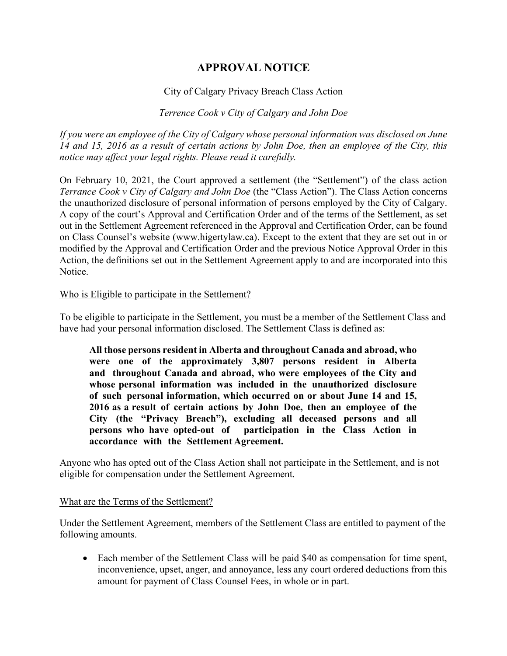# **APPROVAL NOTICE**

## City of Calgary Privacy Breach Class Action

### *Terrence Cook v City of Calgary and John Doe*

*If you were an employee of the City of Calgary whose personal information was disclosed on June 14 and 15, 2016 as a result of certain actions by John Doe, then an employee of the City, this notice may affect your legal rights. Please read it carefully.*

On February 10, 2021, the Court approved a settlement (the "Settlement") of the class action *Terrance Cook v City of Calgary and John Doe* (the "Class Action"). The Class Action concerns the unauthorized disclosure of personal information of persons employed by the City of Calgary. A copy of the court's Approval and Certification Order and of the terms of the Settlement, as set out in the Settlement Agreement referenced in the Approval and Certification Order, can be found on Class Counsel's website (www.higertylaw.ca). Except to the extent that they are set out in or modified by the Approval and Certification Order and the previous Notice Approval Order in this Action, the definitions set out in the Settlement Agreement apply to and are incorporated into this Notice.

#### Who is Eligible to participate in the Settlement?

To be eligible to participate in the Settlement, you must be a member of the Settlement Class and have had your personal information disclosed. The Settlement Class is defined as:

**All those persons resident in Alberta and throughout Canada and abroad, who were one of the approximately 3,807 persons resident in Alberta and throughout Canada and abroad, who were employees of the City and whose personal information was included in the unauthorized disclosure of such personal information, which occurred on or about June 14 and 15, 2016 as a result of certain actions by John Doe, then an employee of the City (the "Privacy Breach"), excluding all deceased persons and all persons who have opted-out of participation in the Class Action in accordance with the Settlement Agreement.** 

Anyone who has opted out of the Class Action shall not participate in the Settlement, and is not eligible for compensation under the Settlement Agreement.

#### What are the Terms of the Settlement?

Under the Settlement Agreement, members of the Settlement Class are entitled to payment of the following amounts.

• Each member of the Settlement Class will be paid \$40 as compensation for time spent, inconvenience, upset, anger, and annoyance, less any court ordered deductions from this amount for payment of Class Counsel Fees, in whole or in part.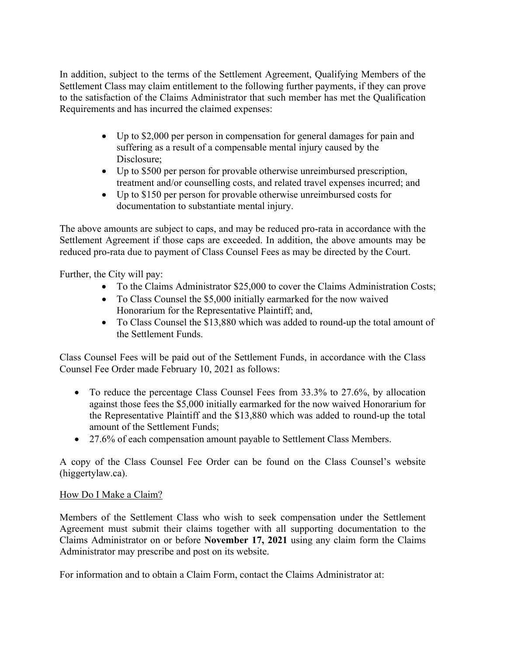In addition, subject to the terms of the Settlement Agreement, Qualifying Members of the Settlement Class may claim entitlement to the following further payments, if they can prove to the satisfaction of the Claims Administrator that such member has met the Qualification Requirements and has incurred the claimed expenses:

- Up to \$2,000 per person in compensation for general damages for pain and suffering as a result of a compensable mental injury caused by the Disclosure;
- Up to \$500 per person for provable otherwise unreimbursed prescription, treatment and/or counselling costs, and related travel expenses incurred; and
- Up to \$150 per person for provable otherwise unreimbursed costs for documentation to substantiate mental injury.

The above amounts are subject to caps, and may be reduced pro-rata in accordance with the Settlement Agreement if those caps are exceeded. In addition, the above amounts may be reduced pro-rata due to payment of Class Counsel Fees as may be directed by the Court.

Further, the City will pay:

- To the Claims Administrator \$25,000 to cover the Claims Administration Costs;
- To Class Counsel the \$5,000 initially earmarked for the now waived Honorarium for the Representative Plaintiff; and,
- To Class Counsel the \$13,880 which was added to round-up the total amount of the Settlement Funds.

Class Counsel Fees will be paid out of the Settlement Funds, in accordance with the Class Counsel Fee Order made February 10, 2021 as follows:

- To reduce the percentage Class Counsel Fees from 33.3% to 27.6%, by allocation against those fees the \$5,000 initially earmarked for the now waived Honorarium for the Representative Plaintiff and the \$13,880 which was added to round-up the total amount of the Settlement Funds;
- 27.6% of each compensation amount payable to Settlement Class Members.

A copy of the Class Counsel Fee Order can be found on the Class Counsel's website (higgertylaw.ca).

## How Do I Make a Claim?

Members of the Settlement Class who wish to seek compensation under the Settlement Agreement must submit their claims together with all supporting documentation to the Claims Administrator on or before **November 17, 2021** using any claim form the Claims Administrator may prescribe and post on its website.

For information and to obtain a Claim Form, contact the Claims Administrator at: